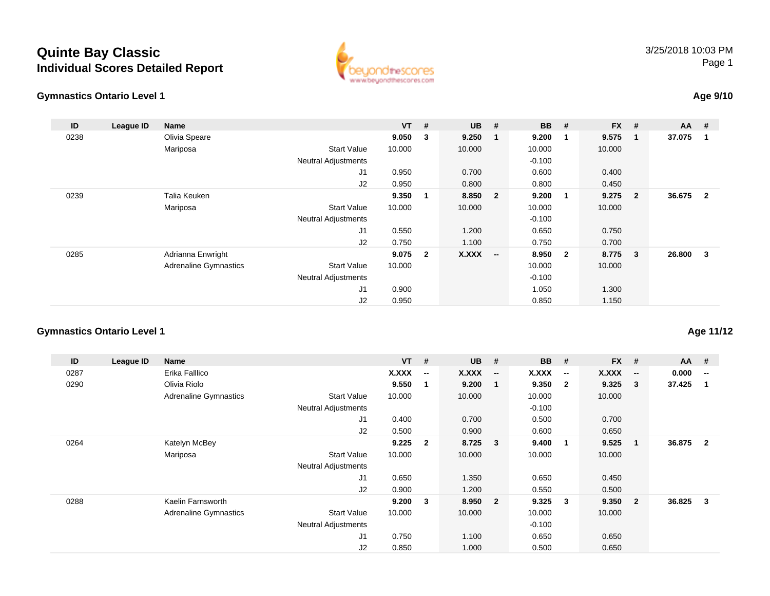# **Quinte Bay ClassicIndividual Scores Detailed Report**

### **Gymnastics Ontario Level 1**



### 3/25/2018 10:03 PMPage 1

## **Age 9/10**

| ID   | League ID | Name                         |                            | $VT$ # |                | <b>UB</b>    | #                        | BB       | #                       | FX #   |                            | AA     | - #                     |
|------|-----------|------------------------------|----------------------------|--------|----------------|--------------|--------------------------|----------|-------------------------|--------|----------------------------|--------|-------------------------|
| 0238 |           | Olivia Speare                |                            | 9.050  | 3              | 9.250        | -1                       | 9.200    | $\blacksquare$          | 9.575  | $\overline{\phantom{0}}$ 1 | 37.075 | -1                      |
|      |           | Mariposa                     | <b>Start Value</b>         | 10.000 |                | 10.000       |                          | 10.000   |                         | 10.000 |                            |        |                         |
|      |           |                              | <b>Neutral Adjustments</b> |        |                |              |                          | $-0.100$ |                         |        |                            |        |                         |
|      |           |                              | J1                         | 0.950  |                | 0.700        |                          | 0.600    |                         | 0.400  |                            |        |                         |
|      |           |                              | J2                         | 0.950  |                | 0.800        |                          | 0.800    |                         | 0.450  |                            |        |                         |
| 0239 |           | Talia Keuken                 |                            | 9.350  | 1              | 8.850        | $\overline{\mathbf{2}}$  | 9.200    | $\blacksquare$          | 9.275  | $\overline{\mathbf{2}}$    | 36.675 | $\overline{\mathbf{2}}$ |
|      |           | Mariposa                     | <b>Start Value</b>         | 10.000 |                | 10.000       |                          | 10.000   |                         | 10.000 |                            |        |                         |
|      |           |                              | <b>Neutral Adjustments</b> |        |                |              |                          | $-0.100$ |                         |        |                            |        |                         |
|      |           |                              | J1                         | 0.550  |                | 1.200        |                          | 0.650    |                         | 0.750  |                            |        |                         |
|      |           |                              | J2                         | 0.750  |                | 1.100        |                          | 0.750    |                         | 0.700  |                            |        |                         |
| 0285 |           | Adrianna Enwright            |                            | 9.075  | $\overline{2}$ | <b>X.XXX</b> | $\overline{\phantom{a}}$ | 8.950    | $\overline{\mathbf{2}}$ | 8.775  | $\overline{\mathbf{3}}$    | 26.800 | $\mathbf{3}$            |
|      |           | <b>Adrenaline Gymnastics</b> | <b>Start Value</b>         | 10.000 |                |              |                          | 10.000   |                         | 10.000 |                            |        |                         |
|      |           |                              | <b>Neutral Adjustments</b> |        |                |              |                          | $-0.100$ |                         |        |                            |        |                         |
|      |           |                              | J <sub>1</sub>             | 0.900  |                |              |                          | 1.050    |                         | 1.300  |                            |        |                         |
|      |           |                              | J2                         | 0.950  |                |              |                          | 0.850    |                         | 1.150  |                            |        |                         |

## **Gymnastics Ontario Level 1**

| ID   | League ID | <b>Name</b>                  |                            | $VT$ # |                          | <b>UB</b> | #                        | <b>BB</b> | #                        | <b>FX</b> | #                        | AA #   |                          |
|------|-----------|------------------------------|----------------------------|--------|--------------------------|-----------|--------------------------|-----------|--------------------------|-----------|--------------------------|--------|--------------------------|
| 0287 |           | Erika Falllico               |                            | X.XXX  | $\overline{\phantom{a}}$ | X.XXX     | $\overline{\phantom{a}}$ | X.XXX     | $\overline{\phantom{a}}$ | X.XXX     | $\overline{\phantom{a}}$ | 0.000  | $\overline{\phantom{a}}$ |
| 0290 |           | Olivia Riolo                 |                            | 9.550  |                          | 9.200     | $\blacksquare$           | 9.350     | $\overline{\mathbf{2}}$  | 9.325     | 3                        | 37.425 |                          |
|      |           | <b>Adrenaline Gymnastics</b> | <b>Start Value</b>         | 10.000 |                          | 10.000    |                          | 10.000    |                          | 10.000    |                          |        |                          |
|      |           |                              | <b>Neutral Adjustments</b> |        |                          |           |                          | $-0.100$  |                          |           |                          |        |                          |
|      |           |                              | J <sub>1</sub>             | 0.400  |                          | 0.700     |                          | 0.500     |                          | 0.700     |                          |        |                          |
|      |           |                              | J2                         | 0.500  |                          | 0.900     |                          | 0.600     |                          | 0.650     |                          |        |                          |
| 0264 |           | Katelyn McBey                |                            | 9.225  | $\overline{2}$           | 8.725     | $\overline{\mathbf{3}}$  | 9.400     | -1                       | 9.525     | $\mathbf 1$              | 36.875 | $\overline{2}$           |
|      |           | Mariposa                     | <b>Start Value</b>         | 10.000 |                          | 10.000    |                          | 10.000    |                          | 10.000    |                          |        |                          |
|      |           |                              | <b>Neutral Adjustments</b> |        |                          |           |                          |           |                          |           |                          |        |                          |
|      |           |                              | J <sub>1</sub>             | 0.650  |                          | 1.350     |                          | 0.650     |                          | 0.450     |                          |        |                          |
|      |           |                              | J2                         | 0.900  |                          | 1.200     |                          | 0.550     |                          | 0.500     |                          |        |                          |
| 0288 |           | Kaelin Farnsworth            |                            | 9.200  | 3                        | 8.950     | $\overline{\mathbf{2}}$  | 9.325     | - 3                      | 9.350     | $\mathbf{2}$             | 36.825 | 3                        |
|      |           | <b>Adrenaline Gymnastics</b> | <b>Start Value</b>         | 10.000 |                          | 10.000    |                          | 10.000    |                          | 10.000    |                          |        |                          |
|      |           |                              | <b>Neutral Adjustments</b> |        |                          |           |                          | $-0.100$  |                          |           |                          |        |                          |
|      |           |                              | J <sub>1</sub>             | 0.750  |                          | 1.100     |                          | 0.650     |                          | 0.650     |                          |        |                          |
|      |           |                              | J <sub>2</sub>             | 0.850  |                          | 1.000     |                          | 0.500     |                          | 0.650     |                          |        |                          |

# **Age 11/12**